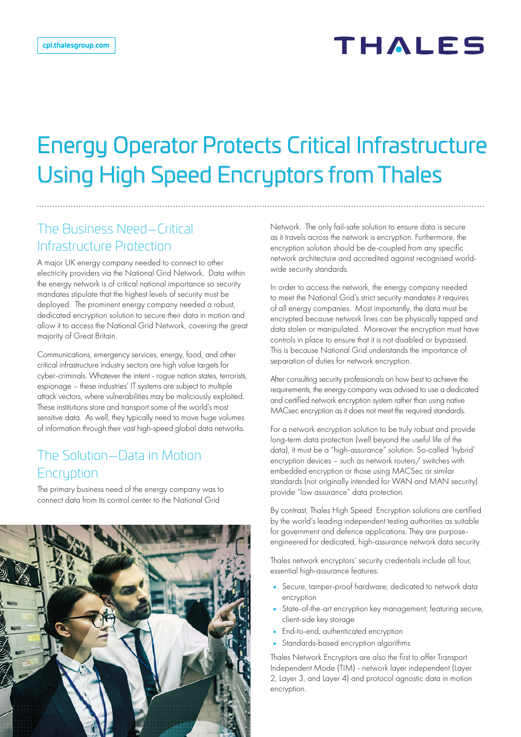# Energy Operator Protects Critical Infrastructure Using High Speed Encryptors from Thales

## The Business Need—Critical Infrastructure Protection

A major UK energy company needed to connect to other electricity providers via the National Grid Network. Data within the energy network is of critical national importance so security mandates stipulate that the highest levels of security must be deployed. The prominent energy company needed a robust, dedicated encryption solution to secure their data in motion and allow it to access the National Grid Network, covering the great majority of Great Britain.

Communications, emergency services, energy, food, and other critical infrastructure industry sectors are high value targets for cyber-criminals. Whatever the intent - rogue nation states, terrorists, espionage – these industries' IT systems are subject to multiple attack vectors, where vulnerabilities may be maliciously exploited. These institutions store and transport some of the world's most sensitive data. As well, they typically need to move huge volumes of information through their vast high-speed global data networks.

### The Solution—Data in Motion **Encruption**

The primary business need of the energy company was to connect data from its control center to the National Grid



Network. The only fail-safe solution to ensure data is secure as it travels across the network is encryption. Furthermore, the encryption solution should be de-coupled from any specific network architecture and accredited against recognised worldwide security standards.

In order to access the network, the energy company needed to meet the National Grid's strict security mandates it requires of all energy companies. Most importantly, the data must be encrypted because network lines can be physically tapped and data stolen or manipulated. Moreover the encryption must have controls in place to ensure that it is not disabled or bypassed. This is because National Grid understands the importance of separation of duties for network encryption.

After consulting security professionals on how best to achieve the requirements, the energy company was advised to use a dedicated and certified network encryption system rather than using native MACsec encryption as it does not meet the required standards.

For a network encryption solution to be truly robust and provide long-term data protection (well beyond the useful life of the data), it must be a "high-assurance" solution. So-called 'hybrid' encryption devices – such as network routers/ switches with embedded encryption or those using MACSec or similar standards (not originally intended for WAN and MAN security) provide "low assurance" data protection.

By contrast, Thales High Speed Encryption solutions are certified by the world's leading independent testing authorities as suitable for government and defence applications. They are purposeengineered for dedicated, high-assurance network data security.

Thales network encryptors' security credentials include all four, essential high-assurance features:

- Secure, tamper-proof hardware; dedicated to network data encryption
- State-of-the-art encryption key management; featuring secure, client-side key storage
- End-to-end, authenticated encryption
- Standards-based encryption algorithms

Thales Network Encryptors are also the first to offer Transport Independent Mode (TIM) - network layer independent (Layer 2, Layer 3, and Layer 4) and protocol agnostic data in motion encryption.